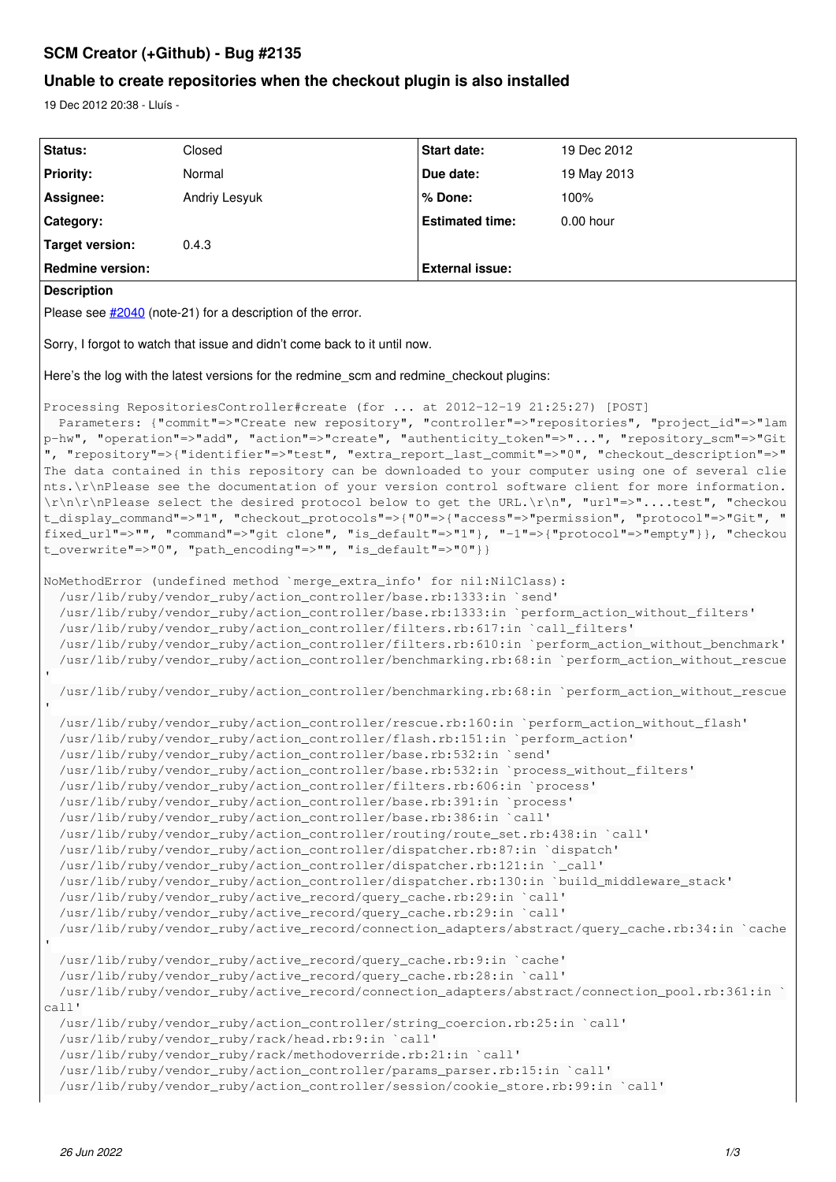# **SCM Creator (+Github) - Bug #2135**

# **Unable to create repositories when the checkout plugin is also installed**

19 Dec 2012 20:38 - Lluís -

| Status:                                                                                                                                                                                                                                                                                                                                                                                                                                                                                                                                                                                                                                                                                                                                                                                                                                                                                                                                                                                                                                                                                                                                                     | Closed        | <b>Start date:</b>     | 19 Dec 2012 |
|-------------------------------------------------------------------------------------------------------------------------------------------------------------------------------------------------------------------------------------------------------------------------------------------------------------------------------------------------------------------------------------------------------------------------------------------------------------------------------------------------------------------------------------------------------------------------------------------------------------------------------------------------------------------------------------------------------------------------------------------------------------------------------------------------------------------------------------------------------------------------------------------------------------------------------------------------------------------------------------------------------------------------------------------------------------------------------------------------------------------------------------------------------------|---------------|------------------------|-------------|
| <b>Priority:</b>                                                                                                                                                                                                                                                                                                                                                                                                                                                                                                                                                                                                                                                                                                                                                                                                                                                                                                                                                                                                                                                                                                                                            | Normal        | Due date:              | 19 May 2013 |
| Assignee:                                                                                                                                                                                                                                                                                                                                                                                                                                                                                                                                                                                                                                                                                                                                                                                                                                                                                                                                                                                                                                                                                                                                                   | Andriy Lesyuk | % Done:                | 100%        |
| Category:                                                                                                                                                                                                                                                                                                                                                                                                                                                                                                                                                                                                                                                                                                                                                                                                                                                                                                                                                                                                                                                                                                                                                   |               | <b>Estimated time:</b> | 0.00 hour   |
| <b>Target version:</b>                                                                                                                                                                                                                                                                                                                                                                                                                                                                                                                                                                                                                                                                                                                                                                                                                                                                                                                                                                                                                                                                                                                                      | 0.4.3         |                        |             |
| <b>Redmine version:</b>                                                                                                                                                                                                                                                                                                                                                                                                                                                                                                                                                                                                                                                                                                                                                                                                                                                                                                                                                                                                                                                                                                                                     |               | <b>External issue:</b> |             |
| <b>Description</b>                                                                                                                                                                                                                                                                                                                                                                                                                                                                                                                                                                                                                                                                                                                                                                                                                                                                                                                                                                                                                                                                                                                                          |               |                        |             |
| Please see #2040 (note-21) for a description of the error.                                                                                                                                                                                                                                                                                                                                                                                                                                                                                                                                                                                                                                                                                                                                                                                                                                                                                                                                                                                                                                                                                                  |               |                        |             |
| Sorry, I forgot to watch that issue and didn't come back to it until now.                                                                                                                                                                                                                                                                                                                                                                                                                                                                                                                                                                                                                                                                                                                                                                                                                                                                                                                                                                                                                                                                                   |               |                        |             |
| Here's the log with the latest versions for the redmine_scm and redmine_checkout plugins:                                                                                                                                                                                                                                                                                                                                                                                                                                                                                                                                                                                                                                                                                                                                                                                                                                                                                                                                                                                                                                                                   |               |                        |             |
| Processing RepositoriesController#create (for  at 2012-12-19 21:25:27) [POST]<br>Parameters: {"commit"=>"Create new repository", "controller"=>"repositories", "project_id"=>"lam<br>p-hw", "operation"=>"add", "action"=>"create", "authenticity_token"=>"", "repository_scm"=>"Git<br>", "repository"=>{"identifier"=>"test", "extra_report_last_commit"=>"0", "checkout_description"=>"<br>The data contained in this repository can be downloaded to your computer using one of several clie<br>nts.\r\nPlease see the documentation of your version control software client for more information.<br>\r\n\r\nPlease select the desired protocol below to get the URL.\r\n", "url"=>"test", "checkou<br>t_display_command"=>"1", "checkout_protocols"=>{"0"=>{"access"=>"permission", "protocol"=>"Git", "<br>fixed_url"=>"", "command"=>"git clone", "is_default"=>"1"}, "-1"=>{"protocol"=>"empty"}}, "checkou<br>t_overwrite"=>"0", "path_encoding"=>"", "is_default"=>"0"}}                                                                                                                                                                         |               |                        |             |
| NoMethodError (undefined method 'merge_extra_info' for nil:NilClass):<br>/usr/lib/ruby/vendor_ruby/action_controller/base.rb:1333:in `send'<br>/usr/lib/ruby/vendor_ruby/action_controller/base.rb:1333:in `perform_action_without_filters'<br>/usr/lib/ruby/vendor_ruby/action_controller/filters.rb:617:in `call_filters'<br>/usr/lib/ruby/vendor_ruby/action_controller/filters.rb:610:in `perform_action_without_benchmark'<br>/usr/lib/ruby/vendor_ruby/action_controller/benchmarking.rb:68:in `perform_action_without_rescue<br>/usr/lib/ruby/vendor_ruby/action_controller/benchmarking.rb:68:in `perform_action_without_rescue                                                                                                                                                                                                                                                                                                                                                                                                                                                                                                                     |               |                        |             |
| /usr/lib/ruby/vendor_ruby/action_controller/rescue.rb:160:in `perform_action_without_flash'<br>/usr/lib/ruby/vendor_ruby/action_controller/flash.rb:151:in `perform_action'<br>/usr/lib/ruby/vendor_ruby/action_controller/base.rb:532:in `send'<br>/usr/lib/ruby/vendor_ruby/action_controller/base.rb:532:in `process_without_filters'<br>/usr/lib/ruby/vendor_ruby/action_controller/filters.rb:606:in `process'<br>/usr/lib/ruby/vendor_ruby/action_controller/base.rb:391:in `process'<br>/usr/lib/ruby/vendor_ruby/action_controller/base.rb:386:in 'call'<br>/usr/lib/ruby/vendor_ruby/action_controller/routing/route_set.rb:438:in `call'<br>/usr/lib/ruby/vendor_ruby/action_controller/dispatcher.rb:87:in `dispatch'<br>/usr/lib/ruby/vendor_ruby/action_controller/dispatcher.rb:121:in '_call'<br>/usr/lib/ruby/vendor_ruby/action_controller/dispatcher.rb:130:in `build_middleware_stack'<br>/usr/lib/ruby/vendor_ruby/active_record/query_cache.rb:29:in `call'<br>/usr/lib/ruby/vendor_ruby/active_record/query_cache.rb:29:in 'call'<br>/usr/lib/ruby/vendor_ruby/active_record/connection_adapters/abstract/query_cache.rb:34:in `cache |               |                        |             |
| /usr/lib/ruby/vendor_ruby/active_record/query_cache.rb:9:in `cache'<br>/usr/lib/ruby/vendor_ruby/active_record/query_cache.rb:28:in 'call'<br>/usr/lib/ruby/vendor_ruby/active_record/connection_adapters/abstract/connection_pool.rb:361:in `<br>$cal1$ '<br>/usr/lib/ruby/vendor_ruby/action_controller/string_coercion.rb:25:in 'call'<br>/usr/lib/ruby/vendor_ruby/rack/head.rb:9:in `call'<br>/usr/lib/ruby/vendor_ruby/rack/methodoverride.rb:21:in 'call'<br>/usr/lib/ruby/vendor_ruby/action_controller/params_parser.rb:15:in 'call'<br>/usr/lib/ruby/vendor_ruby/action_controller/session/cookie_store.rb:99:in `call'                                                                                                                                                                                                                                                                                                                                                                                                                                                                                                                           |               |                        |             |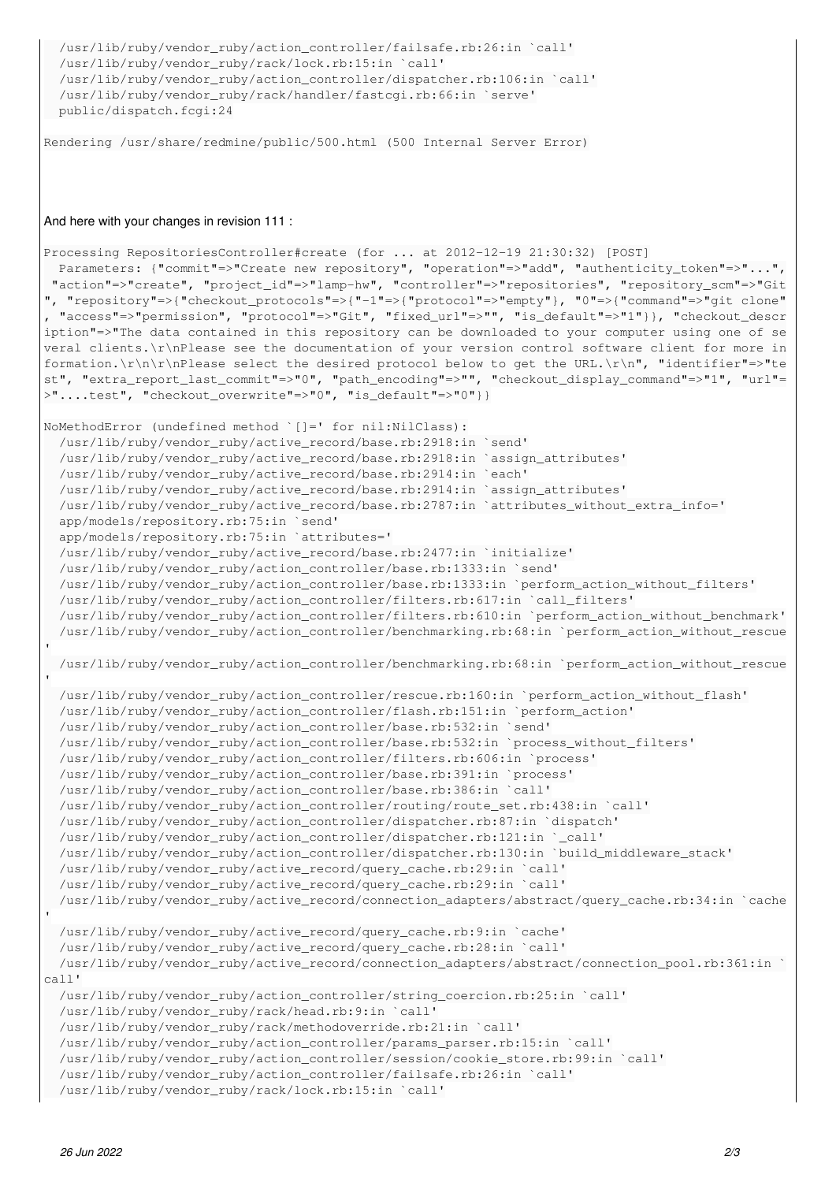```
  /usr/lib/ruby/vendor_ruby/action_controller/failsafe.rb:26:in `call'
  /usr/lib/ruby/vendor_ruby/rack/lock.rb:15:in `call'
  /usr/lib/ruby/vendor_ruby/action_controller/dispatcher.rb:106:in `call'
  /usr/lib/ruby/vendor_ruby/rack/handler/fastcgi.rb:66:in `serve'
  public/dispatch.fcgi:24
```
Rendering /usr/share/redmine/public/500.html (500 Internal Server Error)

#### And here with your changes in revision 111 :

```
Processing RepositoriesController#create (for ... at 2012-12-19 21:30:32) [POST]
   Parameters: {"commit"=>"Create new repository", "operation"=>"add", "authenticity_token"=>"...",
 "action"=>"create", "project_id"=>"lamp-hw", "controller"=>"repositories", "repository_scm"=>"Git
", "repository"=>{"checkout_protocols"=>{"-1"=>{"protocol"=>"empty"}, "0"=>{"command"=>"git clone"
 , "access"=>"permission", "protocol"=>"Git", "fixed_url"=>"", "is_default"=>"1"}}, "checkout_descr
iption"=>"The data contained in this repository can be downloaded to your computer using one of se
veral clients.\r\nPlease see the documentation of your version control software client for more in
formation.\r\n\r\nPlease select the desired protocol below to get the URL.\r\n", "identifier"=>"te
st", "extra_report_last_commit"=>"0", "path_encoding"=>"", "checkout_display_command"=>"1", "url"=
>"....test", "checkout_overwrite"=>"0", "is_default"=>"0"}}
```

```
NoMethodError (undefined method `[]=' for nil:NilClass):
    /usr/lib/ruby/vendor_ruby/active_record/base.rb:2918:in `send'
    /usr/lib/ruby/vendor_ruby/active_record/base.rb:2918:in `assign_attributes'
    /usr/lib/ruby/vendor_ruby/active_record/base.rb:2914:in `each'
    /usr/lib/ruby/vendor_ruby/active_record/base.rb:2914:in `assign_attributes'
    /usr/lib/ruby/vendor_ruby/active_record/base.rb:2787:in `attributes_without_extra_info='
    app/models/repository.rb:75:in `send'
    app/models/repository.rb:75:in `attributes='
    /usr/lib/ruby/vendor_ruby/active_record/base.rb:2477:in `initialize'
    /usr/lib/ruby/vendor_ruby/action_controller/base.rb:1333:in `send'
    /usr/lib/ruby/vendor_ruby/action_controller/base.rb:1333:in `perform_action_without_filters'
    /usr/lib/ruby/vendor_ruby/action_controller/filters.rb:617:in `call_filters'
    /usr/lib/ruby/vendor_ruby/action_controller/filters.rb:610:in `perform_action_without_benchmark'
    /usr/lib/ruby/vendor_ruby/action_controller/benchmarking.rb:68:in `perform_action_without_rescue
    /usr/lib/ruby/vendor_ruby/action_controller/benchmarking.rb:68:in `perform_action_without_rescue
    /usr/lib/ruby/vendor_ruby/action_controller/rescue.rb:160:in `perform_action_without_flash'
    /usr/lib/ruby/vendor_ruby/action_controller/flash.rb:151:in `perform_action'
    /usr/lib/ruby/vendor_ruby/action_controller/base.rb:532:in `send'
    /usr/lib/ruby/vendor_ruby/action_controller/base.rb:532:in `process_without_filters'
    /usr/lib/ruby/vendor_ruby/action_controller/filters.rb:606:in `process'
    /usr/lib/ruby/vendor_ruby/action_controller/base.rb:391:in `process'
    /usr/lib/ruby/vendor_ruby/action_controller/base.rb:386:in `call'
    /usr/lib/ruby/vendor_ruby/action_controller/routing/route_set.rb:438:in `call'
    /usr/lib/ruby/vendor_ruby/action_controller/dispatcher.rb:87:in `dispatch'
    /usr/lib/ruby/vendor_ruby/action_controller/dispatcher.rb:121:in `_call'
    /usr/lib/ruby/vendor_ruby/action_controller/dispatcher.rb:130:in `build_middleware_stack'
    /usr/lib/ruby/vendor_ruby/active_record/query_cache.rb:29:in `call'
    /usr/lib/ruby/vendor_ruby/active_record/query_cache.rb:29:in `call'
    /usr/lib/ruby/vendor_ruby/active_record/connection_adapters/abstract/query_cache.rb:34:in `cache
'  /usr/lib/ruby/vendor_ruby/active_record/query_cache.rb:9:in `cache'
    /usr/lib/ruby/vendor_ruby/active_record/query_cache.rb:28:in `call'
    /usr/lib/ruby/vendor_ruby/active_record/connection_adapters/abstract/connection_pool.rb:361:in `
call'
    /usr/lib/ruby/vendor_ruby/action_controller/string_coercion.rb:25:in `call'
    /usr/lib/ruby/vendor_ruby/rack/head.rb:9:in `call'
    /usr/lib/ruby/vendor_ruby/rack/methodoverride.rb:21:in `call'
    /usr/lib/ruby/vendor_ruby/action_controller/params_parser.rb:15:in `call'
    /usr/lib/ruby/vendor_ruby/action_controller/session/cookie_store.rb:99:in `call'
    /usr/lib/ruby/vendor_ruby/action_controller/failsafe.rb:26:in `call'
```

```
  /usr/lib/ruby/vendor_ruby/rack/lock.rb:15:in `call'
```